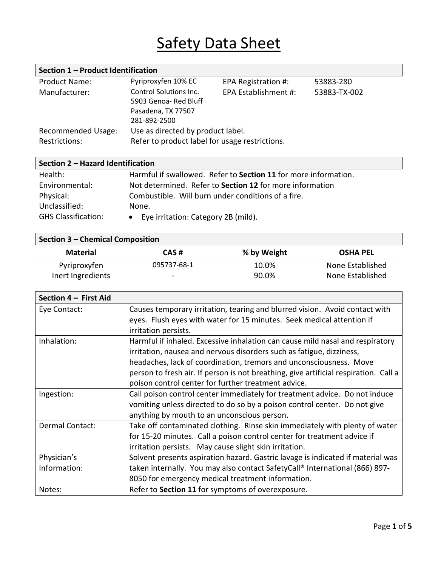# Safety Data Sheet

| Section 1 - Product Identification |                                                |                      |              |
|------------------------------------|------------------------------------------------|----------------------|--------------|
| <b>Product Name:</b>               | Pyriproxyfen 10% EC                            | EPA Registration #:  | 53883-280    |
| Manufacturer:                      | Control Solutions Inc.                         | EPA Establishment #: | 53883-TX-002 |
|                                    | 5903 Genoa-Red Bluff                           |                      |              |
|                                    | Pasadena, TX 77507                             |                      |              |
|                                    | 281-892-2500                                   |                      |              |
| <b>Recommended Usage:</b>          | Use as directed by product label.              |                      |              |
| Restrictions:                      | Refer to product label for usage restrictions. |                      |              |

| Section 2 - Hazard Identification |                                                                 |  |
|-----------------------------------|-----------------------------------------------------------------|--|
| Health:                           | Harmful if swallowed. Refer to Section 11 for more information. |  |
| Environmental:                    | Not determined. Refer to Section 12 for more information        |  |
| Physical:                         | Combustible. Will burn under conditions of a fire.              |  |
| Unclassified:                     | None.                                                           |  |
| <b>GHS Classification:</b>        | Eye irritation: Category 2B (mild).                             |  |

#### **Section 3 – Chemical Composition**

| CAS#        | % by Weight | <b>OSHA PEL</b>  |
|-------------|-------------|------------------|
| 095737-68-1 | 10.0%       | None Established |
| -           | 90.0%       | None Established |
|             |             |                  |

| Section 4 - First Aid |                                                                                                                                                      |
|-----------------------|------------------------------------------------------------------------------------------------------------------------------------------------------|
| Eye Contact:          | Causes temporary irritation, tearing and blurred vision. Avoid contact with<br>eyes. Flush eyes with water for 15 minutes. Seek medical attention if |
|                       | irritation persists.                                                                                                                                 |
| Inhalation:           | Harmful if inhaled. Excessive inhalation can cause mild nasal and respiratory                                                                        |
|                       | irritation, nausea and nervous disorders such as fatigue, dizziness,                                                                                 |
|                       | headaches, lack of coordination, tremors and unconsciousness. Move                                                                                   |
|                       | person to fresh air. If person is not breathing, give artificial respiration. Call a                                                                 |
|                       | poison control center for further treatment advice.                                                                                                  |
| Ingestion:            | Call poison control center immediately for treatment advice. Do not induce                                                                           |
|                       | vomiting unless directed to do so by a poison control center. Do not give                                                                            |
|                       | anything by mouth to an unconscious person.                                                                                                          |
| Dermal Contact:       | Take off contaminated clothing. Rinse skin immediately with plenty of water                                                                          |
|                       | for 15-20 minutes. Call a poison control center for treatment advice if                                                                              |
|                       | irritation persists. May cause slight skin irritation.                                                                                               |
| Physician's           | Solvent presents aspiration hazard. Gastric lavage is indicated if material was                                                                      |
| Information:          | taken internally. You may also contact SafetyCall® International (866) 897-                                                                          |
|                       | 8050 for emergency medical treatment information.                                                                                                    |
| Notes:                | Refer to Section 11 for symptoms of overexposure.                                                                                                    |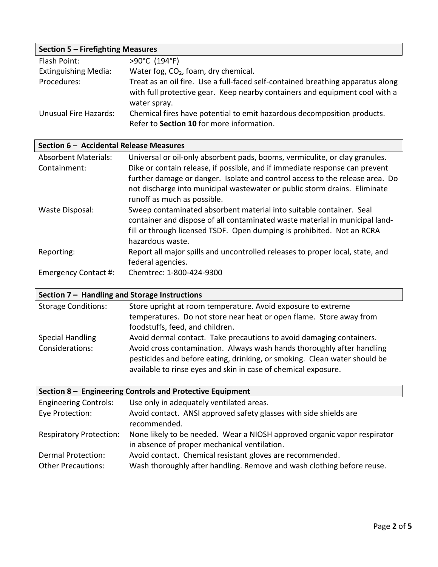| Section 5 - Firefighting Measures |                                                                                                                                                                                |  |
|-----------------------------------|--------------------------------------------------------------------------------------------------------------------------------------------------------------------------------|--|
| Flash Point:                      | >90°C (194°F)                                                                                                                                                                  |  |
| <b>Extinguishing Media:</b>       | Water fog, CO <sub>2</sub> , foam, dry chemical.                                                                                                                               |  |
| Procedures:                       | Treat as an oil fire. Use a full-faced self-contained breathing apparatus along<br>with full protective gear. Keep nearby containers and equipment cool with a<br>water spray. |  |
| Unusual Fire Hazards:             | Chemical fires have potential to emit hazardous decomposition products.<br>Refer to Section 10 for more information.                                                           |  |

### **Section 6 – Accidental Release Measures**

| Universal or oil-only absorbent pads, booms, vermiculite, or clay granules.   |
|-------------------------------------------------------------------------------|
| Dike or contain release, if possible, and if immediate response can prevent   |
| further damage or danger. Isolate and control access to the release area. Do  |
| not discharge into municipal wastewater or public storm drains. Eliminate     |
| runoff as much as possible.                                                   |
| Sweep contaminated absorbent material into suitable container. Seal           |
| container and dispose of all contaminated waste material in municipal land-   |
| fill or through licensed TSDF. Open dumping is prohibited. Not an RCRA        |
| hazardous waste.                                                              |
| Report all major spills and uncontrolled releases to proper local, state, and |
| federal agencies.                                                             |
| Chemtrec: 1-800-424-9300                                                      |
|                                                                               |

## **Section 7 – Handling and Storage Instructions**

| <b>Storage Conditions:</b> | Store upright at room temperature. Avoid exposure to extreme                                                                                                                                                          |
|----------------------------|-----------------------------------------------------------------------------------------------------------------------------------------------------------------------------------------------------------------------|
|                            | temperatures. Do not store near heat or open flame. Store away from                                                                                                                                                   |
|                            | foodstuffs, feed, and children.                                                                                                                                                                                       |
| <b>Special Handling</b>    | Avoid dermal contact. Take precautions to avoid damaging containers.                                                                                                                                                  |
| Considerations:            | Avoid cross contamination. Always wash hands thoroughly after handling<br>pesticides and before eating, drinking, or smoking. Clean water should be<br>available to rinse eyes and skin in case of chemical exposure. |

| Section 8 - Engineering Controls and Protective Equipment |                                                                                                                                     |  |
|-----------------------------------------------------------|-------------------------------------------------------------------------------------------------------------------------------------|--|
| <b>Engineering Controls:</b>                              | Use only in adequately ventilated areas.                                                                                            |  |
| Eye Protection:                                           | Avoid contact. ANSI approved safety glasses with side shields are<br>recommended.                                                   |  |
| <b>Respiratory Protection:</b>                            | None likely to be needed. Wear a NIOSH approved organic vapor respirator<br>in absence of proper mechanical ventilation.            |  |
| <b>Dermal Protection:</b><br><b>Other Precautions:</b>    | Avoid contact. Chemical resistant gloves are recommended.<br>Wash thoroughly after handling. Remove and wash clothing before reuse. |  |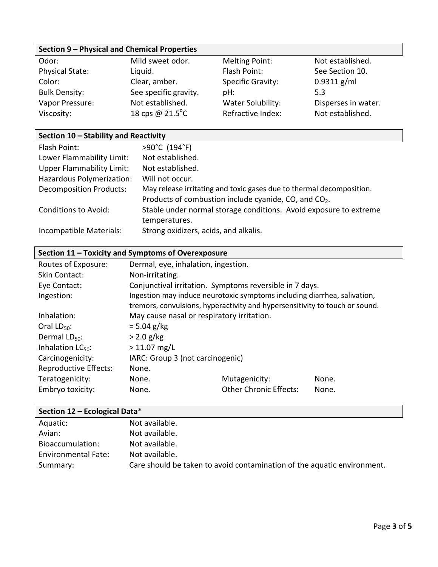#### **Section 9 – Physical and Chemical Properties**

| Odor:                  | Mild sweet odor.          | Melting Point:           | Not established.    |
|------------------------|---------------------------|--------------------------|---------------------|
| <b>Physical State:</b> | Liquid.                   | Flash Point:             | See Section 10.     |
| Color:                 | Clear, amber.             | <b>Specific Gravity:</b> | $0.9311$ g/ml       |
| <b>Bulk Density:</b>   | See specific gravity.     | pH:                      | 5.3                 |
| Vapor Pressure:        | Not established.          | Water Solubility:        | Disperses in water. |
| Viscosity:             | 18 cps @ $21.5^{\circ}$ C | Refractive Index:        | Not established.    |

### **Section 10 – Stability and Reactivity**

| Flash Point:                     | >90°C (194°F)                                                        |
|----------------------------------|----------------------------------------------------------------------|
| Lower Flammability Limit:        | Not established.                                                     |
| <b>Upper Flammability Limit:</b> | Not established.                                                     |
| Hazardous Polymerization:        | Will not occur.                                                      |
| <b>Decomposition Products:</b>   | May release irritating and toxic gases due to thermal decomposition. |
|                                  | Products of combustion include cyanide, CO, and CO <sub>2</sub> .    |
| <b>Conditions to Avoid:</b>      | Stable under normal storage conditions. Avoid exposure to extreme    |
|                                  | temperatures.                                                        |
| Incompatible Materials:          | Strong oxidizers, acids, and alkalis.                                |

### **Section 11 – Toxicity and Symptoms of Overexposure**

| Routes of Exposure:          | Dermal, eye, inhalation, ingestion.                     |                                                                             |       |
|------------------------------|---------------------------------------------------------|-----------------------------------------------------------------------------|-------|
| <b>Skin Contact:</b>         | Non-irritating.                                         |                                                                             |       |
| Eye Contact:                 | Conjunctival irritation. Symptoms reversible in 7 days. |                                                                             |       |
| Ingestion:                   |                                                         | Ingestion may induce neurotoxic symptoms including diarrhea, salivation,    |       |
|                              |                                                         | tremors, convulsions, hyperactivity and hypersensitivity to touch or sound. |       |
| Inhalation:                  | May cause nasal or respiratory irritation.              |                                                                             |       |
| Oral $LD_{50}$ :             | $= 5.04$ g/kg                                           |                                                                             |       |
| Dermal $LD_{50}$ :           | $> 2.0$ g/kg                                            |                                                                             |       |
| Inhalation $LC_{50}$ :       | $> 11.07$ mg/L                                          |                                                                             |       |
| Carcinogenicity:             | IARC: Group 3 (not carcinogenic)                        |                                                                             |       |
| <b>Reproductive Effects:</b> | None.                                                   |                                                                             |       |
| Teratogenicity:              | None.                                                   | Mutagenicity:                                                               | None. |
| Embryo toxicity:             | None.                                                   | <b>Other Chronic Effects:</b>                                               | None. |
|                              |                                                         |                                                                             |       |

### **Section 12 – Ecological Data\***

| Aquatic:            | Not available.                                                          |
|---------------------|-------------------------------------------------------------------------|
| Avian:              | Not available.                                                          |
| Bioaccumulation:    | Not available.                                                          |
| Environmental Fate: | Not available.                                                          |
| Summary:            | Care should be taken to avoid contamination of the aquatic environment. |
|                     |                                                                         |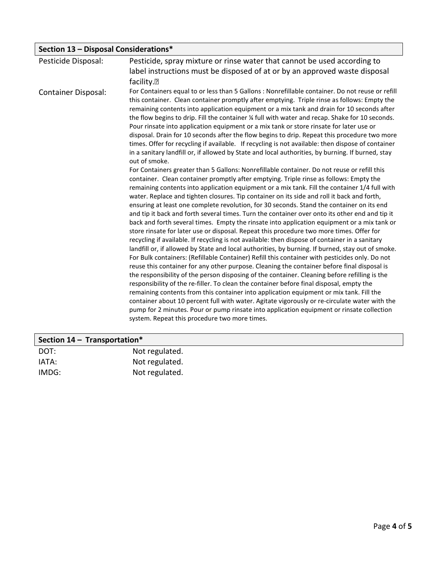| Section 13 - Disposal Considerations* |                                                                                                                                                                                                                                                                                                                                                                                                                                                                                                                                                                                                                                                                                                                                                                                                                                                                                                                                                                                                                                                                                                                                                                                                                                                                                                                                                                                                                                                                                                                                                                                                                                                                                                                                                                                                                                                                                                                                                                                                                                                                                                                  |  |
|---------------------------------------|------------------------------------------------------------------------------------------------------------------------------------------------------------------------------------------------------------------------------------------------------------------------------------------------------------------------------------------------------------------------------------------------------------------------------------------------------------------------------------------------------------------------------------------------------------------------------------------------------------------------------------------------------------------------------------------------------------------------------------------------------------------------------------------------------------------------------------------------------------------------------------------------------------------------------------------------------------------------------------------------------------------------------------------------------------------------------------------------------------------------------------------------------------------------------------------------------------------------------------------------------------------------------------------------------------------------------------------------------------------------------------------------------------------------------------------------------------------------------------------------------------------------------------------------------------------------------------------------------------------------------------------------------------------------------------------------------------------------------------------------------------------------------------------------------------------------------------------------------------------------------------------------------------------------------------------------------------------------------------------------------------------------------------------------------------------------------------------------------------------|--|
| Pesticide Disposal:                   | Pesticide, spray mixture or rinse water that cannot be used according to                                                                                                                                                                                                                                                                                                                                                                                                                                                                                                                                                                                                                                                                                                                                                                                                                                                                                                                                                                                                                                                                                                                                                                                                                                                                                                                                                                                                                                                                                                                                                                                                                                                                                                                                                                                                                                                                                                                                                                                                                                         |  |
|                                       | label instructions must be disposed of at or by an approved waste disposal                                                                                                                                                                                                                                                                                                                                                                                                                                                                                                                                                                                                                                                                                                                                                                                                                                                                                                                                                                                                                                                                                                                                                                                                                                                                                                                                                                                                                                                                                                                                                                                                                                                                                                                                                                                                                                                                                                                                                                                                                                       |  |
|                                       | facility. <sup>[7]</sup>                                                                                                                                                                                                                                                                                                                                                                                                                                                                                                                                                                                                                                                                                                                                                                                                                                                                                                                                                                                                                                                                                                                                                                                                                                                                                                                                                                                                                                                                                                                                                                                                                                                                                                                                                                                                                                                                                                                                                                                                                                                                                         |  |
| <b>Container Disposal:</b>            | For Containers equal to or less than 5 Gallons : Nonrefillable container. Do not reuse or refill<br>this container. Clean container promptly after emptying. Triple rinse as follows: Empty the<br>remaining contents into application equipment or a mix tank and drain for 10 seconds after<br>the flow begins to drip. Fill the container % full with water and recap. Shake for 10 seconds.<br>Pour rinsate into application equipment or a mix tank or store rinsate for later use or<br>disposal. Drain for 10 seconds after the flow begins to drip. Repeat this procedure two more<br>times. Offer for recycling if available. If recycling is not available: then dispose of container<br>in a sanitary landfill or, if allowed by State and local authorities, by burning. If burned, stay<br>out of smoke.<br>For Containers greater than 5 Gallons: Nonrefillable container. Do not reuse or refill this<br>container. Clean container promptly after emptying. Triple rinse as follows: Empty the<br>remaining contents into application equipment or a mix tank. Fill the container 1/4 full with<br>water. Replace and tighten closures. Tip container on its side and roll it back and forth,<br>ensuring at least one complete revolution, for 30 seconds. Stand the container on its end<br>and tip it back and forth several times. Turn the container over onto its other end and tip it<br>back and forth several times. Empty the rinsate into application equipment or a mix tank or<br>store rinsate for later use or disposal. Repeat this procedure two more times. Offer for<br>recycling if available. If recycling is not available: then dispose of container in a sanitary<br>landfill or, if allowed by State and local authorities, by burning. If burned, stay out of smoke.<br>For Bulk containers: (Refillable Container) Refill this container with pesticides only. Do not<br>reuse this container for any other purpose. Cleaning the container before final disposal is<br>the responsibility of the person disposing of the container. Cleaning before refilling is the |  |
|                                       | responsibility of the re-filler. To clean the container before final disposal, empty the<br>remaining contents from this container into application equipment or mix tank. Fill the                                                                                                                                                                                                                                                                                                                                                                                                                                                                                                                                                                                                                                                                                                                                                                                                                                                                                                                                                                                                                                                                                                                                                                                                                                                                                                                                                                                                                                                                                                                                                                                                                                                                                                                                                                                                                                                                                                                              |  |
|                                       | container about 10 percent full with water. Agitate vigorously or re-circulate water with the                                                                                                                                                                                                                                                                                                                                                                                                                                                                                                                                                                                                                                                                                                                                                                                                                                                                                                                                                                                                                                                                                                                                                                                                                                                                                                                                                                                                                                                                                                                                                                                                                                                                                                                                                                                                                                                                                                                                                                                                                    |  |
|                                       | pump for 2 minutes. Pour or pump rinsate into application equipment or rinsate collection<br>system. Repeat this procedure two more times.                                                                                                                                                                                                                                                                                                                                                                                                                                                                                                                                                                                                                                                                                                                                                                                                                                                                                                                                                                                                                                                                                                                                                                                                                                                                                                                                                                                                                                                                                                                                                                                                                                                                                                                                                                                                                                                                                                                                                                       |  |

| Section $14$ – Transportation* |                |  |
|--------------------------------|----------------|--|
| DOT:                           | Not regulated. |  |
| IATA:                          | Not regulated. |  |
| IMDG:                          | Not regulated. |  |